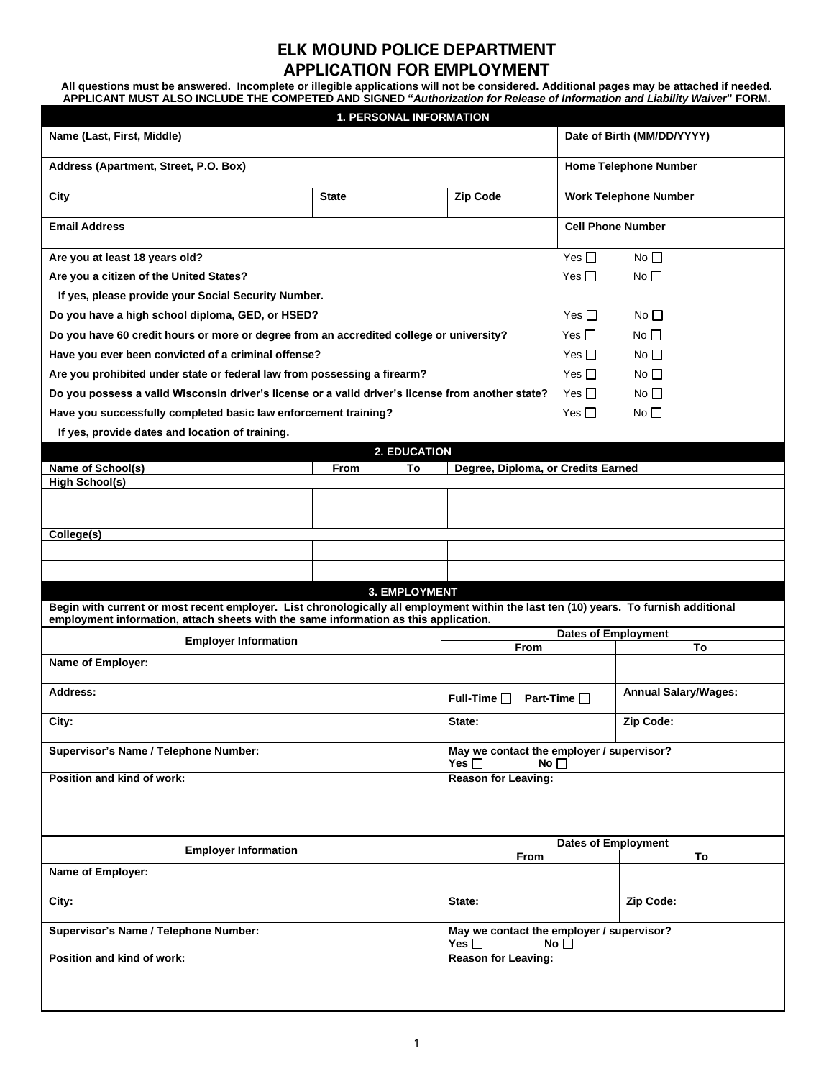## **ELK MOUND POLICE DEPARTMENT APPLICATION FOR EMPLOYMENT**

**All questions must be answered. Incomplete or illegible applications will not be considered. Additional pages may be attached if needed. APPLICANT MUST ALSO INCLUDE THE COMPETED AND SIGNED "***Authorization for Release of Information and Liability Waiver***" FORM.**

| <b>1. PERSONAL INFORMATION</b>                                                                                                                                                                                                |                                                                      |                  |                                                                      |                             |                              |  |  |  |  |
|-------------------------------------------------------------------------------------------------------------------------------------------------------------------------------------------------------------------------------|----------------------------------------------------------------------|------------------|----------------------------------------------------------------------|-----------------------------|------------------------------|--|--|--|--|
| Name (Last, First, Middle)                                                                                                                                                                                                    | Date of Birth (MM/DD/YYYY)                                           |                  |                                                                      |                             |                              |  |  |  |  |
| Address (Apartment, Street, P.O. Box)                                                                                                                                                                                         |                                                                      |                  |                                                                      |                             | <b>Home Telephone Number</b> |  |  |  |  |
| City                                                                                                                                                                                                                          | <b>State</b>                                                         |                  | <b>Zip Code</b>                                                      | Work Telephone Number       |                              |  |  |  |  |
| <b>Email Address</b>                                                                                                                                                                                                          |                                                                      |                  | <b>Cell Phone Number</b>                                             |                             |                              |  |  |  |  |
| Are you at least 18 years old?                                                                                                                                                                                                |                                                                      | Yes $\square$    | No $\Box$                                                            |                             |                              |  |  |  |  |
| Are you a citizen of the United States?                                                                                                                                                                                       |                                                                      | Yes $\Box$       | $No$ $\Box$                                                          |                             |                              |  |  |  |  |
| If yes, please provide your Social Security Number.                                                                                                                                                                           |                                                                      |                  |                                                                      |                             |                              |  |  |  |  |
| Do you have a high school diploma, GED, or HSED?                                                                                                                                                                              | Yes $\Box$                                                           | No <sub>1</sub>  |                                                                      |                             |                              |  |  |  |  |
| Do you have 60 credit hours or more or degree from an accredited college or university?                                                                                                                                       | Yes $\Box$                                                           | No $\square$     |                                                                      |                             |                              |  |  |  |  |
| Have you ever been convicted of a criminal offense?                                                                                                                                                                           | Yes $\Box$                                                           | No $\square$     |                                                                      |                             |                              |  |  |  |  |
| Are you prohibited under state or federal law from possessing a firearm?                                                                                                                                                      | Yes $\Box$                                                           | No $\Box$        |                                                                      |                             |                              |  |  |  |  |
| Do you possess a valid Wisconsin driver's license or a valid driver's license from another state?                                                                                                                             | Yes $\Box$                                                           | No $\Box$        |                                                                      |                             |                              |  |  |  |  |
| Have you successfully completed basic law enforcement training?                                                                                                                                                               | Yes $\Box$                                                           | No $\Box$        |                                                                      |                             |                              |  |  |  |  |
| If yes, provide dates and location of training.                                                                                                                                                                               |                                                                      |                  |                                                                      |                             |                              |  |  |  |  |
| 2. EDUCATION                                                                                                                                                                                                                  |                                                                      |                  |                                                                      |                             |                              |  |  |  |  |
| Name of School(s)                                                                                                                                                                                                             | From                                                                 | То               | Degree, Diploma, or Credits Earned                                   |                             |                              |  |  |  |  |
| <b>High School(s)</b>                                                                                                                                                                                                         |                                                                      |                  |                                                                      |                             |                              |  |  |  |  |
|                                                                                                                                                                                                                               |                                                                      |                  |                                                                      |                             |                              |  |  |  |  |
|                                                                                                                                                                                                                               |                                                                      |                  |                                                                      |                             |                              |  |  |  |  |
| College(s)                                                                                                                                                                                                                    |                                                                      |                  |                                                                      |                             |                              |  |  |  |  |
|                                                                                                                                                                                                                               |                                                                      |                  |                                                                      |                             |                              |  |  |  |  |
|                                                                                                                                                                                                                               |                                                                      |                  |                                                                      |                             |                              |  |  |  |  |
| 3. EMPLOYMENT                                                                                                                                                                                                                 |                                                                      |                  |                                                                      |                             |                              |  |  |  |  |
| Begin with current or most recent employer. List chronologically all employment within the last ten (10) years. To furnish additional<br>employment information, attach sheets with the same information as this application. |                                                                      |                  |                                                                      |                             |                              |  |  |  |  |
| <b>Employer Information</b>                                                                                                                                                                                                   |                                                                      |                  | <b>Dates of Employment</b>                                           |                             |                              |  |  |  |  |
|                                                                                                                                                                                                                               |                                                                      |                  | From                                                                 |                             | To                           |  |  |  |  |
| Name of Employer:                                                                                                                                                                                                             |                                                                      |                  |                                                                      |                             |                              |  |  |  |  |
| Address:                                                                                                                                                                                                                      |                                                                      | Full-Time $\Box$ | Part-Time $\Box$                                                     | <b>Annual Salary/Wages:</b> |                              |  |  |  |  |
| City:                                                                                                                                                                                                                         | State:                                                               |                  | Zip Code:                                                            |                             |                              |  |  |  |  |
| Supervisor's Name / Telephone Number:                                                                                                                                                                                         |                                                                      |                  | May we contact the employer / supervisor?<br>Yes $\Box$<br>No $\Box$ |                             |                              |  |  |  |  |
| Position and kind of work:                                                                                                                                                                                                    |                                                                      |                  | <b>Reason for Leaving:</b>                                           |                             |                              |  |  |  |  |
|                                                                                                                                                                                                                               |                                                                      |                  |                                                                      |                             |                              |  |  |  |  |
| <b>Employer Information</b>                                                                                                                                                                                                   |                                                                      |                  | <b>Dates of Employment</b>                                           |                             |                              |  |  |  |  |
|                                                                                                                                                                                                                               |                                                                      |                  | From                                                                 | To                          |                              |  |  |  |  |
| Name of Employer:                                                                                                                                                                                                             |                                                                      |                  |                                                                      |                             |                              |  |  |  |  |
| City:                                                                                                                                                                                                                         |                                                                      |                  | State:                                                               |                             | Zip Code:                    |  |  |  |  |
| Supervisor's Name / Telephone Number:                                                                                                                                                                                         | May we contact the employer / supervisor?<br>Yes $\Box$<br>$No \Box$ |                  |                                                                      |                             |                              |  |  |  |  |
| Position and kind of work:                                                                                                                                                                                                    |                                                                      |                  | <b>Reason for Leaving:</b>                                           |                             |                              |  |  |  |  |
|                                                                                                                                                                                                                               |                                                                      |                  |                                                                      |                             |                              |  |  |  |  |